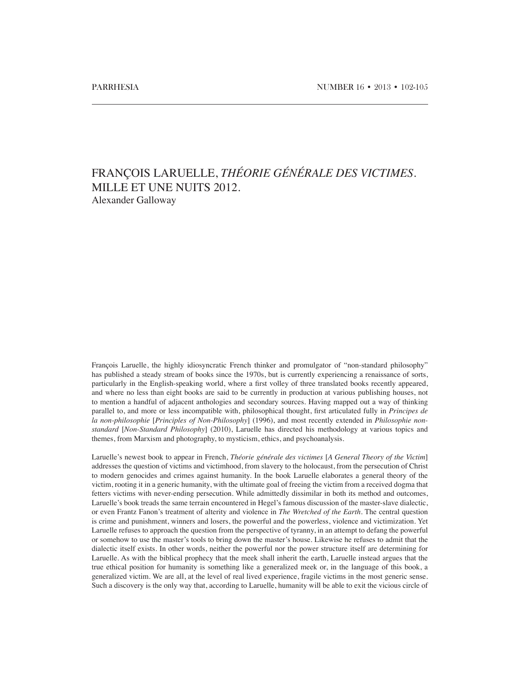## FRANÇOIS LARUELLE, *THÉORIE GÉNÉRALE DES VICTIMES.*  MILLE ET UNE NUITS 2012. Alexander Galloway

François Laruelle, the highly idiosyncratic French thinker and promulgator of "non-standard philosophy" has published a steady stream of books since the 1970s, but is currently experiencing a renaissance of sorts, particularly in the English-speaking world, where a first volley of three translated books recently appeared, and where no less than eight books are said to be currently in production at various publishing houses, not to mention a handful of adjacent anthologies and secondary sources. Having mapped out a way of thinking parallel to, and more or less incompatible with, philosophical thought, first articulated fully in *Principes de la non-philosophie* [*Principles of Non-Philosophy*] (1996), and most recently extended in *Philosophie nonstandard* [*Non-Standard Philosophy*] (2010), Laruelle has directed his methodology at various topics and themes, from Marxism and photography, to mysticism, ethics, and psychoanalysis.

Laruelle's newest book to appear in French, *Théorie générale des victimes* [*A General Theory of the Victim*] addresses the question of victims and victimhood, from slavery to the holocaust, from the persecution of Christ to modern genocides and crimes against humanity. In the book Laruelle elaborates a general theory of the victim, rooting it in a generic humanity, with the ultimate goal of freeing the victim from a received dogma that fetters victims with never-ending persecution. While admittedly dissimilar in both its method and outcomes, Laruelle's book treads the same terrain encountered in Hegel's famous discussion of the master-slave dialectic, or even Frantz Fanon's treatment of alterity and violence in *The Wretched of the Earth*. The central question is crime and punishment, winners and losers, the powerful and the powerless, violence and victimization. Yet Laruelle refuses to approach the question from the perspective of tyranny, in an attempt to defang the powerful or somehow to use the master's tools to bring down the master's house. Likewise he refuses to admit that the dialectic itself exists. In other words, neither the powerful nor the power structure itself are determining for Laruelle. As with the biblical prophecy that the meek shall inherit the earth, Laruelle instead argues that the true ethical position for humanity is something like a generalized meek or, in the language of this book, a generalized victim. We are all, at the level of real lived experience, fragile victims in the most generic sense. Such a discovery is the only way that, according to Laruelle, humanity will be able to exit the vicious circle of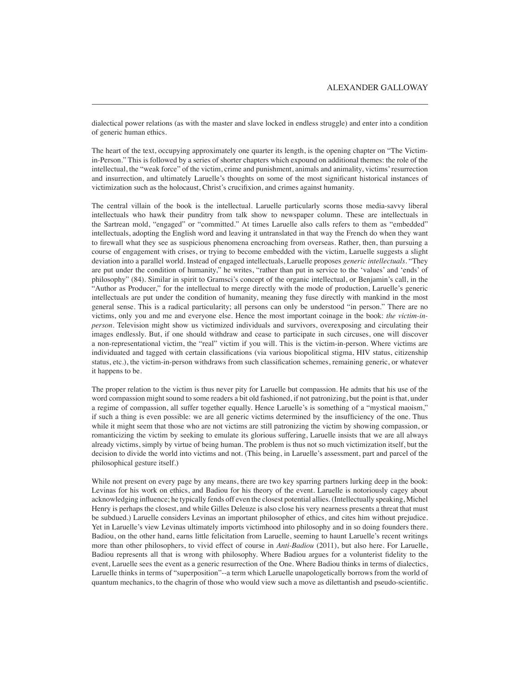dialectical power relations (as with the master and slave locked in endless struggle) and enter into a condition of generic human ethics.

The heart of the text, occupying approximately one quarter its length, is the opening chapter on "The Victimin-Person." This is followed by a series of shorter chapters which expound on additional themes: the role of the intellectual, the "weak force" of the victim, crime and punishment, animals and animality, victims' resurrection and insurrection, and ultimately Laruelle's thoughts on some of the most significant historical instances of victimization such as the holocaust, Christ's crucifixion, and crimes against humanity.

The central villain of the book is the intellectual. Laruelle particularly scorns those media-savvy liberal intellectuals who hawk their punditry from talk show to newspaper column. These are intellectuals in the Sartrean mold, "engaged" or "committed." At times Laruelle also calls refers to them as "embedded" intellectuals, adopting the English word and leaving it untranslated in that way the French do when they want to firewall what they see as suspicious phenomena encroaching from overseas. Rather, then, than pursuing a course of engagement with crises, or trying to become embedded with the victim, Laruelle suggests a slight deviation into a parallel world. Instead of engaged intellectuals, Laruelle proposes *generic intellectuals*. "They are put under the condition of humanity," he writes, "rather than put in service to the 'values' and 'ends' of philosophy" (84). Similar in spirit to Gramsci's concept of the organic intellectual, or Benjamin's call, in the "Author as Producer," for the intellectual to merge directly with the mode of production, Laruelle's generic intellectuals are put under the condition of humanity, meaning they fuse directly with mankind in the most general sense. This is a radical particularity; all persons can only be understood "in person." There are no victims, only you and me and everyone else. Hence the most important coinage in the book: *the victim-inperson*. Television might show us victimized individuals and survivors, overexposing and circulating their images endlessly. But, if one should withdraw and cease to participate in such circuses, one will discover a non-representational victim, the "real" victim if you will. This is the victim-in-person. Where victims are individuated and tagged with certain classifications (via various biopolitical stigma, HIV status, citizenship status, etc.), the victim-in-person withdraws from such classification schemes, remaining generic, or whatever it happens to be.

The proper relation to the victim is thus never pity for Laruelle but compassion. He admits that his use of the word compassion might sound to some readers a bit old fashioned, if not patronizing, but the point is that, under a regime of compassion, all suffer together equally. Hence Laruelle's is something of a "mystical maoism," if such a thing is even possible: we are all generic victims determined by the insufficiency of the one. Thus while it might seem that those who are not victims are still patronizing the victim by showing compassion, or romanticizing the victim by seeking to emulate its glorious suffering, Laruelle insists that we are all always already victims, simply by virtue of being human. The problem is thus not so much victimization itself, but the decision to divide the world into victims and not. (This being, in Laruelle's assessment, part and parcel of the philosophical gesture itself.)

While not present on every page by any means, there are two key sparring partners lurking deep in the book: Levinas for his work on ethics, and Badiou for his theory of the event. Laruelle is notoriously cagey about acknowledging influence; he typically fends off even the closest potential allies. (Intellectually speaking, Michel Henry is perhaps the closest, and while Gilles Deleuze is also close his very nearness presents a threat that must be subdued.) Laruelle considers Levinas an important philosopher of ethics, and cites him without prejudice. Yet in Laruelle's view Levinas ultimately imports victimhood into philosophy and in so doing founders there. Badiou, on the other hand, earns little felicitation from Laruelle, seeming to haunt Laruelle's recent writings more than other philosophers, to vivid effect of course in *Anti-Badiou* (2011), but also here. For Laruelle, Badiou represents all that is wrong with philosophy. Where Badiou argues for a volunterist fidelity to the event, Laruelle sees the event as a generic resurrection of the One. Where Badiou thinks in terms of dialectics, Laruelle thinks in terms of "superposition"--a term which Laruelle unapologetically borrows from the world of quantum mechanics, to the chagrin of those who would view such a move as dilettantish and pseudo-scientific.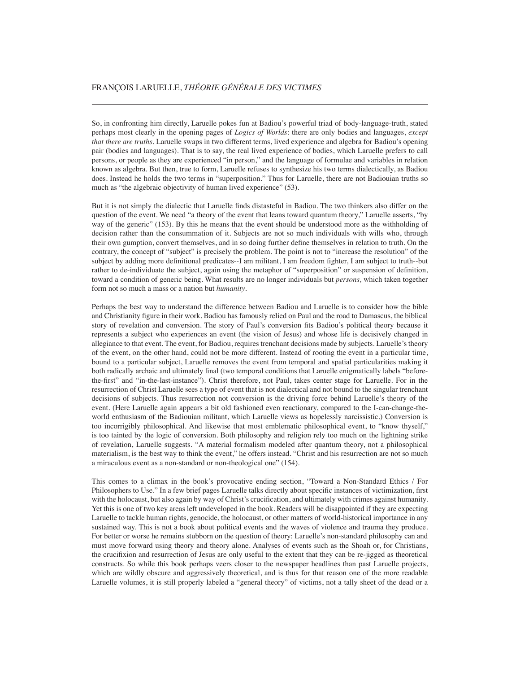So, in confronting him directly, Laruelle pokes fun at Badiou's powerful triad of body-language-truth, stated perhaps most clearly in the opening pages of *Logics of Worlds*: there are only bodies and languages, *except that there are truths*. Laruelle swaps in two different terms, lived experience and algebra for Badiou's opening pair (bodies and languages). That is to say, the real lived experience of bodies, which Laruelle prefers to call persons, or people as they are experienced "in person," and the language of formulae and variables in relation known as algebra. But then, true to form, Laruelle refuses to synthesize his two terms dialectically, as Badiou does. Instead he holds the two terms in "superposition." Thus for Laruelle, there are not Badiouian truths so much as "the algebraic objectivity of human lived experience" (53).

But it is not simply the dialectic that Laruelle finds distasteful in Badiou. The two thinkers also differ on the question of the event. We need "a theory of the event that leans toward quantum theory," Laruelle asserts, "by way of the generic" (153). By this he means that the event should be understood more as the withholding of decision rather than the consummation of it. Subjects are not so much individuals with wills who, through their own gumption, convert themselves, and in so doing further define themselves in relation to truth. On the contrary, the concept of "subject" is precisely the problem. The point is not to "increase the resolution" of the subject by adding more definitional predicates--I am militant, I am freedom fighter, I am subject to truth--but rather to de-individuate the subject, again using the metaphor of "superposition" or suspension of definition, toward a condition of generic being. What results are no longer individuals but *persons,* which taken together form not so much a mass or a nation but *humanity*.

Perhaps the best way to understand the difference between Badiou and Laruelle is to consider how the bible and Christianity figure in their work. Badiou has famously relied on Paul and the road to Damascus, the biblical story of revelation and conversion. The story of Paul's conversion fits Badiou's political theory because it represents a subject who experiences an event (the vision of Jesus) and whose life is decisively changed in allegiance to that event. The event, for Badiou, requires trenchant decisions made by subjects. Laruelle's theory of the event, on the other hand, could not be more different. Instead of rooting the event in a particular time, bound to a particular subject, Laruelle removes the event from temporal and spatial particularities making it both radically archaic and ultimately final (two temporal conditions that Laruelle enigmatically labels "beforethe-first" and "in-the-last-instance"). Christ therefore, not Paul, takes center stage for Laruelle. For in the resurrection of Christ Laruelle sees a type of event that is not dialectical and not bound to the singular trenchant decisions of subjects. Thus resurrection not conversion is the driving force behind Laruelle's theory of the event. (Here Laruelle again appears a bit old fashioned even reactionary, compared to the I-can-change-theworld enthusiasm of the Badiouian militant, which Laruelle views as hopelessly narcissistic.) Conversion is too incorrigibly philosophical. And likewise that most emblematic philosophical event, to "know thyself," is too tainted by the logic of conversion. Both philosophy and religion rely too much on the lightning strike of revelation, Laruelle suggests. "A material formalism modeled after quantum theory, not a philosophical materialism, is the best way to think the event," he offers instead. "Christ and his resurrection are not so much a miraculous event as a non-standard or non-theological one" (154).

This comes to a climax in the book's provocative ending section, "Toward a Non-Standard Ethics / For Philosophers to Use." In a few brief pages Laruelle talks directly about specific instances of victimization, first with the holocaust, but also again by way of Christ's crucification, and ultimately with crimes against humanity. Yet this is one of two key areas left undeveloped in the book. Readers will be disappointed if they are expecting Laruelle to tackle human rights, genocide, the holocaust, or other matters of world-historical importance in any sustained way. This is not a book about political events and the waves of violence and trauma they produce. For better or worse he remains stubborn on the question of theory: Laruelle's non-standard philosophy can and must move forward using theory and theory alone. Analyses of events such as the Shoah or, for Christians, the crucifixion and resurrection of Jesus are only useful to the extent that they can be re-jigged as theoretical constructs. So while this book perhaps veers closer to the newspaper headlines than past Laruelle projects, which are wildly obscure and aggressively theoretical, and is thus for that reason one of the more readable Laruelle volumes, it is still properly labeled a "general theory" of victims, not a tally sheet of the dead or a